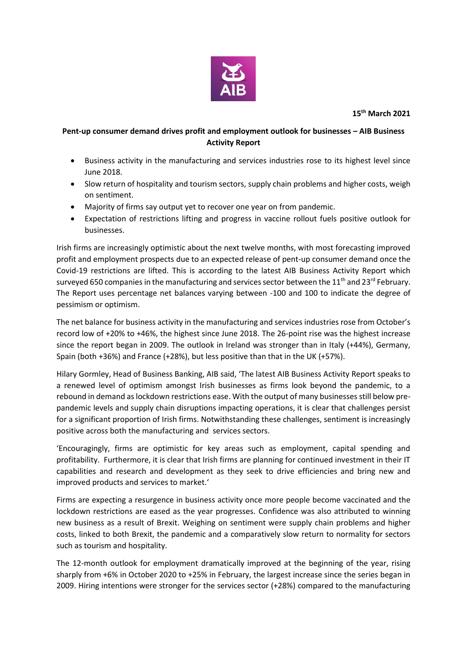

**15th March 2021**

## **Pent-up consumer demand drives profit and employment outlook for businesses – AIB Business Activity Report**

- Business activity in the manufacturing and services industries rose to its highest level since June 2018.
- Slow return of hospitality and tourism sectors, supply chain problems and higher costs, weigh on sentiment.
- Majority of firms say output yet to recover one year on from pandemic.
- Expectation of restrictions lifting and progress in vaccine rollout fuels positive outlook for businesses.

Irish firms are increasingly optimistic about the next twelve months, with most forecasting improved profit and employment prospects due to an expected release of pent-up consumer demand once the Covid-19 restrictions are lifted. This is according to the latest AIB Business Activity Report which surveyed 650 companies in the manufacturing and services sector between the 11<sup>th</sup> and 23<sup>rd</sup> February. The Report uses percentage net balances varying between -100 and 100 to indicate the degree of pessimism or optimism.

The net balance for business activity in the manufacturing and services industries rose from October's record low of +20% to +46%, the highest since June 2018. The 26-point rise was the highest increase since the report began in 2009. The outlook in Ireland was stronger than in Italy (+44%), Germany, Spain (both +36%) and France (+28%), but less positive than that in the UK (+57%).

Hilary Gormley, Head of Business Banking, AIB said, 'The latest AIB Business Activity Report speaks to a renewed level of optimism amongst Irish businesses as firms look beyond the pandemic, to a rebound in demand as lockdown restrictions ease. With the output of many businesses still below prepandemic levels and supply chain disruptions impacting operations, it is clear that challenges persist for a significant proportion of Irish firms. Notwithstanding these challenges, sentiment is increasingly positive across both the manufacturing and services sectors.

'Encouragingly, firms are optimistic for key areas such as employment, capital spending and profitability. Furthermore, it is clear that Irish firms are planning for continued investment in their IT capabilities and research and development as they seek to drive efficiencies and bring new and improved products and services to market.'

Firms are expecting a resurgence in business activity once more people become vaccinated and the lockdown restrictions are eased as the year progresses. Confidence was also attributed to winning new business as a result of Brexit. Weighing on sentiment were supply chain problems and higher costs, linked to both Brexit, the pandemic and a comparatively slow return to normality for sectors such as tourism and hospitality.

The 12-month outlook for employment dramatically improved at the beginning of the year, rising sharply from +6% in October 2020 to +25% in February, the largest increase since the series began in 2009. Hiring intentions were stronger for the services sector (+28%) compared to the manufacturing